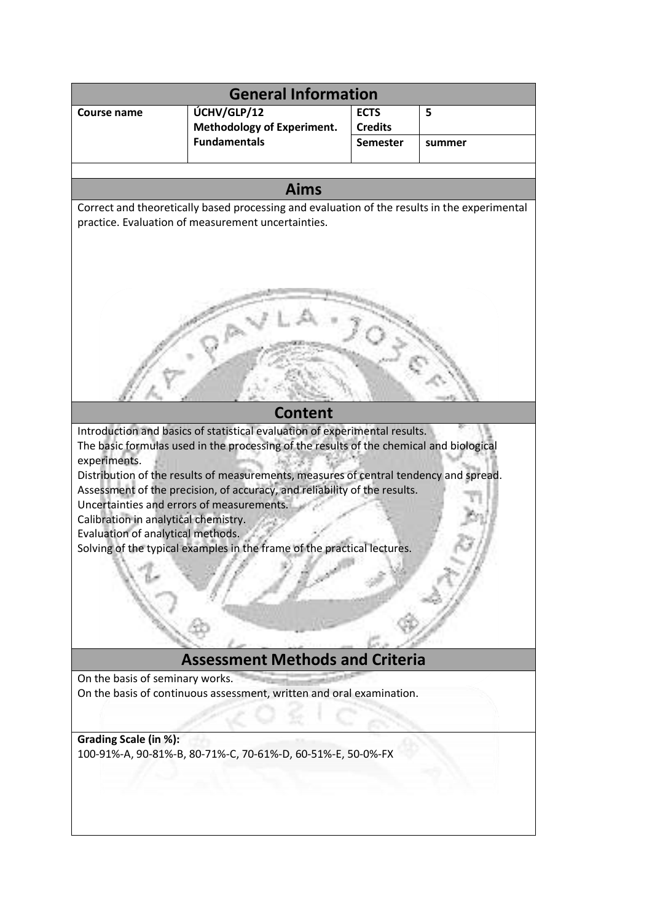| <b>General Information</b>                                                                                                                                                                                                                                                                                                                                                                                                                                                                                                                                                                                                                                                                                                                                                                                                      |                                                          |                                   |        |
|---------------------------------------------------------------------------------------------------------------------------------------------------------------------------------------------------------------------------------------------------------------------------------------------------------------------------------------------------------------------------------------------------------------------------------------------------------------------------------------------------------------------------------------------------------------------------------------------------------------------------------------------------------------------------------------------------------------------------------------------------------------------------------------------------------------------------------|----------------------------------------------------------|-----------------------------------|--------|
| <b>Course name</b>                                                                                                                                                                                                                                                                                                                                                                                                                                                                                                                                                                                                                                                                                                                                                                                                              | ÚCHV/GLP/12                                              | <b>ECTS</b>                       | 5      |
|                                                                                                                                                                                                                                                                                                                                                                                                                                                                                                                                                                                                                                                                                                                                                                                                                                 | <b>Methodology of Experiment.</b><br><b>Fundamentals</b> | <b>Credits</b><br><b>Semester</b> | summer |
|                                                                                                                                                                                                                                                                                                                                                                                                                                                                                                                                                                                                                                                                                                                                                                                                                                 |                                                          |                                   |        |
|                                                                                                                                                                                                                                                                                                                                                                                                                                                                                                                                                                                                                                                                                                                                                                                                                                 |                                                          |                                   |        |
| <b>Aims</b>                                                                                                                                                                                                                                                                                                                                                                                                                                                                                                                                                                                                                                                                                                                                                                                                                     |                                                          |                                   |        |
| Correct and theoretically based processing and evaluation of the results in the experimental<br>practice. Evaluation of measurement uncertainties.                                                                                                                                                                                                                                                                                                                                                                                                                                                                                                                                                                                                                                                                              |                                                          |                                   |        |
| <b>Content</b><br>Introduction and basics of statistical evaluation of experimental results.<br>The basic formulas used in the processing of the results of the chemical and biological<br>experiments.<br>Distribution of the results of measurements, measures of central tendency and spread.<br>Assessment of the precision, of accuracy, and reliability of the results.<br>Uncertainties and errors of measurements.<br>Calibration in analytical chemistry.<br>Evaluation of analytical methods.<br>Solving of the typical examples in the frame of the practical lectures.<br><b>Assessment Methods and Criteria</b><br>On the basis of seminary works.<br>On the basis of continuous assessment, written and oral examination.<br>Grading Scale (in %):<br>100-91%-A, 90-81%-B, 80-71%-C, 70-61%-D, 60-51%-E, 50-0%-FX |                                                          |                                   |        |
|                                                                                                                                                                                                                                                                                                                                                                                                                                                                                                                                                                                                                                                                                                                                                                                                                                 |                                                          |                                   |        |
|                                                                                                                                                                                                                                                                                                                                                                                                                                                                                                                                                                                                                                                                                                                                                                                                                                 |                                                          |                                   |        |
|                                                                                                                                                                                                                                                                                                                                                                                                                                                                                                                                                                                                                                                                                                                                                                                                                                 |                                                          |                                   |        |
|                                                                                                                                                                                                                                                                                                                                                                                                                                                                                                                                                                                                                                                                                                                                                                                                                                 |                                                          |                                   |        |
|                                                                                                                                                                                                                                                                                                                                                                                                                                                                                                                                                                                                                                                                                                                                                                                                                                 |                                                          |                                   |        |